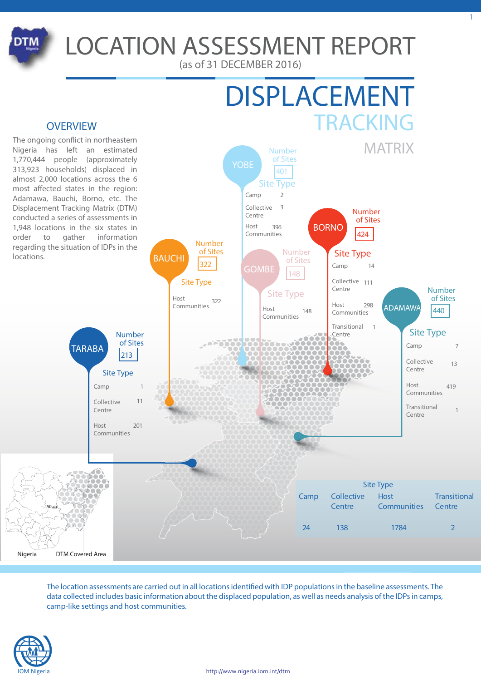

# **LOCATION ASSESSMENT REPORT**

(as of 31 DECEMBER 2016)

YOBE



**Number of Sites**



The ongoing conflict in northeastern Nigeria has left an estimated 1,770,444 people (approximately 313,923 households) displaced in almost 2,000 locations across the 6 most affected states in the region: Adamawa, Bauchi, Borno, etc. The Displacement Tracking Matrix (DTM) conducted a series of assessments in 1,948 locations in the six states in order to gather information regarding the situation of IDPs in the locations.



The location assessments are carried out in all locations identified with IDP populations in the baseline assessments. The data collected includes basic information about the displaced population, as well as needs analysis of the IDPs in camps, camp-like settings and host communities.

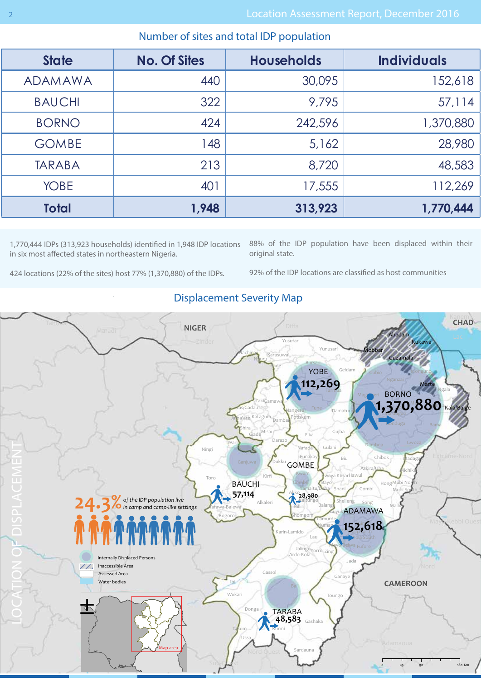| <b>State</b>   | <b>No. Of Sites</b> | <b>Households</b> | <b>Individuals</b> |  |
|----------------|---------------------|-------------------|--------------------|--|
| <b>ADAMAWA</b> | 440                 | 30,095            | 152,618            |  |
| <b>BAUCHI</b>  | 322                 | 9,795             | 57,114             |  |
| <b>BORNO</b>   | 424                 | 242,596           | 1,370,880          |  |
| <b>GOMBE</b>   | 148                 | 5,162             | 28,980             |  |
| <b>TARABA</b>  | 213                 | 8,720             | 48,583             |  |
| <b>YOBE</b>    | 401                 | 17,555            | 112,269            |  |
| <b>Total</b>   | 1,948               | 313,923           | 1,770,444          |  |
|                |                     |                   |                    |  |

## Number of sites and total IDP population

1,770,444 IDPs (313,923 households) identified in 1,948 IDP locations in six most affected states in northeastern Nigeria.

88% of the IDP population have been displaced within their original state.

424 locations (22% of the sites) host 77% (1,370,880) of the IDPs.

92% of the IDP locations are classified as host communities



## Displacement Severity Map

|<br>|

I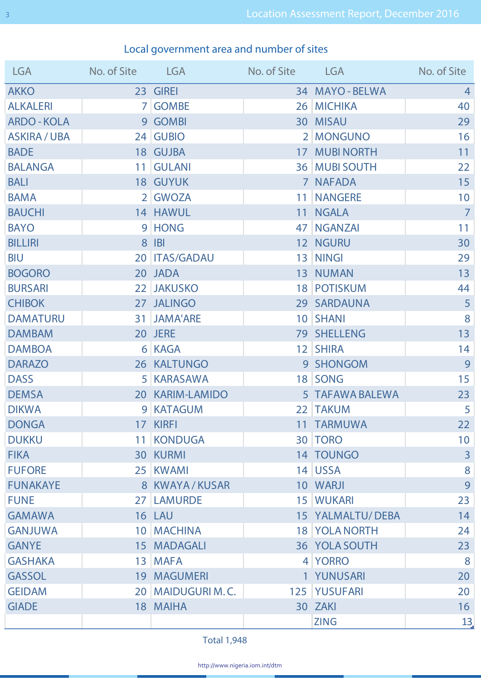# Local government area and number of sites

| <b>LGA</b>        | No. of Site LGA |                     | No. of Site LGA |                  | No. of Site     |
|-------------------|-----------------|---------------------|-----------------|------------------|-----------------|
| <b>AKKO</b>       |                 | 23 GIREI            |                 | 34 MAYO - BELWA  | $\overline{4}$  |
| <b>ALKALERI</b>   |                 | 7 GOMBE             |                 | 26 MICHIKA       | 40              |
| <b>ARDO-KOLA</b>  |                 | 9 GOMBI             |                 | 30 MISAU         | 29              |
| <b>ASKIRA/UBA</b> |                 | 24 GUBIO            |                 | 2 MONGUNO        | 16              |
| <b>BADE</b>       |                 | 18 GUJBA            |                 | 17 MUBINORTH     | 11              |
| <b>BALANGA</b>    |                 | 11 GULANI           |                 | 36 MUBI SOUTH    | 22              |
| <b>BALI</b>       |                 | 18 GUYUK            |                 | 7 NAFADA         | 15              |
| <b>BAMA</b>       |                 | 2 GWOZA             |                 | 11 NANGERE       | 10              |
| <b>BAUCHI</b>     |                 | 14 HAWUL            |                 | 11 NGALA         | $\overline{7}$  |
| <b>BAYO</b>       |                 | 9 HONG              |                 | 47   NGANZAI     | 11              |
| <b>BILLIRI</b>    |                 | 8 IBI               |                 | 12 NGURU         | 30              |
| <b>BIU</b>        |                 | 20   ITAS/GADAU     |                 | 13 NINGI         | 29              |
| <b>BOGORO</b>     |                 | 20 JADA             |                 | 13 NUMAN         | 13              |
| <b>BURSARI</b>    |                 | 22 JAKUSKO          |                 | 18 POTISKUM      | 44              |
| <b>CHIBOK</b>     |                 | 27 JALINGO          |                 | 29 SARDAUNA      | 5 <sup>1</sup>  |
| <b>DAMATURU</b>   |                 | 31 JAMA'ARE         |                 | 10 SHANI         | 8               |
| <b>DAMBAM</b>     |                 | 20 JERE             |                 | 79 SHELLENG      | 13              |
| <b>DAMBOA</b>     |                 | 6 KAGA              |                 | 12 SHIRA         | 14              |
| <b>DARAZO</b>     |                 | 26 KALTUNGO         |                 | 9 SHONGOM        | 9               |
| <b>DASS</b>       |                 | 5 KARASAWA          |                 | 18 SONG          | 15              |
| <b>DEMSA</b>      |                 | 20 KARIM-LAMIDO     |                 | 5 TAFAWA BALEWA  | 23              |
| <b>DIKWA</b>      |                 | 9 KATAGUM           |                 | 22 TAKUM         | 5               |
| <b>DONGA</b>      |                 | 17 KIRFI            |                 | 11 TARMUWA       | 22              |
| <b>DUKKU</b>      |                 | 11 KONDUGA          |                 | 30 TORO          | 10 <sup>°</sup> |
| <b>FIKA</b>       |                 | <b>30 KURMI</b>     |                 | 14 TOUNGO        | $\overline{3}$  |
| <b>FUFORE</b>     |                 | 25 KWAMI            |                 | 14 USSA          | 8               |
| <b>FUNAKAYE</b>   |                 | 8 KWAYA / KUSAR     |                 | 10 WARJI         | 9               |
| <b>FUNE</b>       |                 | 27 LAMURDE          |                 | <b>15 WUKARI</b> | 23              |
| <b>GAMAWA</b>     |                 | 16 LAU              |                 | 15 YALMALTU/DEBA | 14              |
| <b>GANJUWA</b>    |                 | 10   MACHINA        |                 | 18 YOLA NORTH    | 24              |
| <b>GANYE</b>      |                 | 15 MADAGALI         |                 | 36 YOLA SOUTH    | 23              |
| <b>GASHAKA</b>    |                 | 13 MAFA             |                 | 4 YORRO          | 8               |
| <b>GASSOL</b>     |                 | <b>19 MAGUMERI</b>  |                 | 1 YUNUSARI       | 20              |
| <b>GEIDAM</b>     |                 | 20   MAIDUGURI M.C. |                 | 125 YUSUFARI     | 20              |
| <b>GIADE</b>      |                 | 18 MAIHA            |                 | 30 ZAKI          | 16              |
|                   |                 |                     |                 | <b>ZING</b>      | 13              |

**Total 1,948**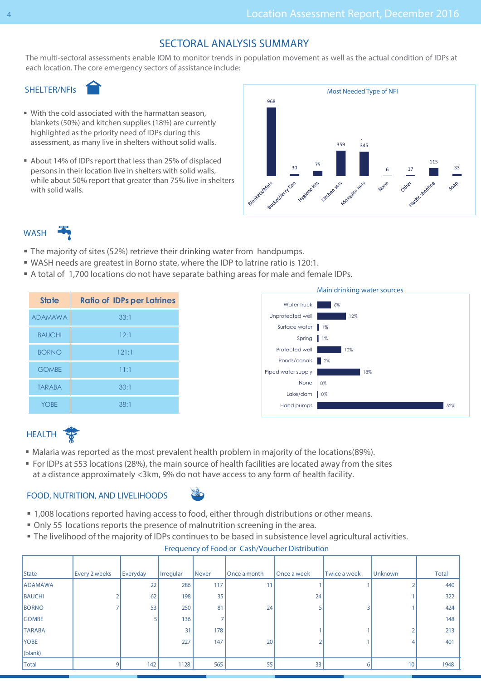## SECTORAL ANALYSIS SUMMARY

The multi-sectoral assessments enable IOM to monitor trends in population movement as well as the actual condition of IDPs at each location. The core emergency sectors of assistance include:

#### SHELTER/NFIs

- With the cold associated with the harmattan season, blankets (50%) and kitchen supplies (18%) are currently highlighted as the priority need of IDPs during this assessment, as many live in shelters without solid walls.
- About 14% of IDPs report that less than 25% of displaced persons in their location live in shelters with solid walls, while about 50% report that greater than 75% live in shelters with solid walls.



## **WASH**

- The majority of sites (52%) retrieve their drinking water from handpumps.
- WASH needs are greatest in Borno state, where the IDP to latrine ratio is 120:1.
- A total of 1,700 locations do not have separate bathing areas for male and female IDPs.

| <b>State</b>   | <b>Ratio of IDPs per Latrines</b> |
|----------------|-----------------------------------|
| <b>ADAMAWA</b> | 33:1                              |
| <b>BAUCHI</b>  | 12:1                              |
| <b>BORNO</b>   | 121:1                             |
| <b>GOMBE</b>   | 11:1                              |
| <b>TARABA</b>  | 30:1                              |
| <b>YOBE</b>    | 38:1                              |



# **HEALTH**

- Malaria was reported as the most prevalent health problem in majority of the locations(89%).
- For IDPs at 553 locations (28%), the main source of health facilities are located away from the sites at a distance approximately <3km, 9% do not have access to any form of health facility.

#### FOOD, NUTRITION, AND LIVELIHOODS



- 1,008 locations reported having access to food, either through distributions or other means.
- Only 55 locations reports the presence of malnutrition screening in the area.
- The livelihood of the majority of IDPs continues to be based in subsistence level agricultural activities.

#### Frequency of Food or Cash/Voucher Distribution

| State          | Every 2 weeks | Everyday | Irregular | <b>Never</b> | Once a month | Once a week | Twice a week | <b>Unknown</b> | <b>Total</b> |
|----------------|---------------|----------|-----------|--------------|--------------|-------------|--------------|----------------|--------------|
| <b>ADAMAWA</b> |               | 22       | 286       | 117          | 11           |             |              |                | 440          |
| BAUCHI         |               | 62       | 198       | 35           |              | 24          |              |                | 322          |
| BORNO          |               | 53       | 250       | 81           | 24           |             |              |                | 424          |
| <b>GOMBE</b>   |               |          | 136       |              |              |             |              |                | 148          |
| <b>TARABA</b>  |               |          | 31        | 178          |              |             |              |                | 213          |
| <b>YOBE</b>    |               |          | 227       | 147          | 20           |             |              |                | 401          |
| $ $ (blank)    |               |          |           |              |              |             |              |                |              |
| <b>Total</b>   | 9             | 142      | 1128      | 565          | 55           | 33          |              | 10             | 1948         |